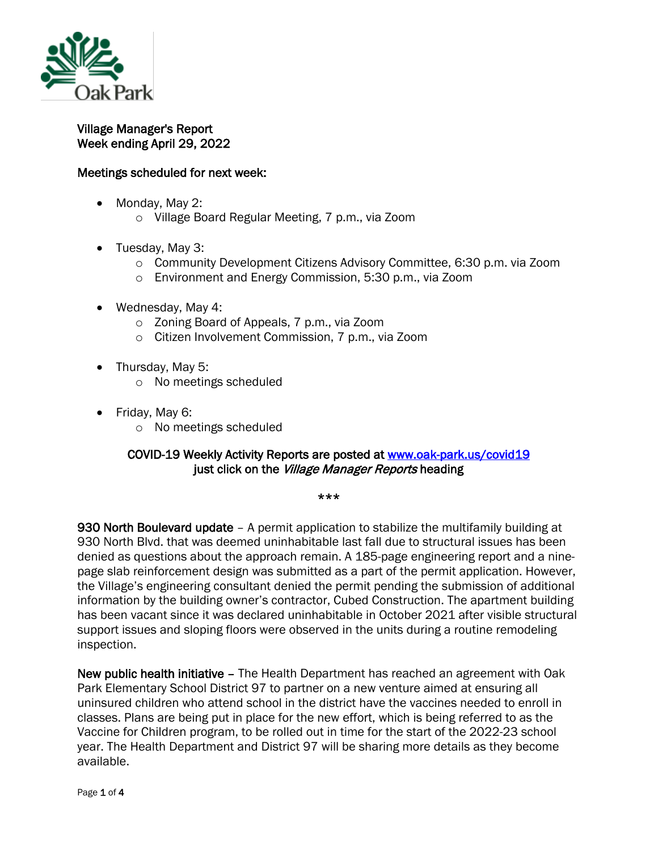

## Village Manager's Report Week ending April 29, 2022

## Meetings scheduled for next week:

- Monday, May 2:
	- o Village Board Regular Meeting, 7 p.m., via Zoom
- Tuesday, May 3:
	- o Community Development Citizens Advisory Committee, 6:30 p.m. via Zoom
	- o Environment and Energy Commission, 5:30 p.m., via Zoom
- Wednesday, May 4:
	- o Zoning Board of Appeals, 7 p.m., via Zoom
	- o Citizen Involvement Commission, 7 p.m., via Zoom
- Thursday, May 5:
	- o No meetings scheduled
- Friday, May 6:
	- o No meetings scheduled

## COVID-19 Weekly Activity Reports are posted at [www.oak-park.us/covid19](http://www.oak-park.us/covid19)  just click on the Village Manager Reports heading

\*\*\*

930 North Boulevard update - A permit application to stabilize the multifamily building at 930 North Blvd. that was deemed uninhabitable last fall due to structural issues has been denied as questions about the approach remain. A 185-page engineering report and a ninepage slab reinforcement design was submitted as a part of the permit application. However, the Village's engineering consultant denied the permit pending the submission of additional information by the building owner's contractor, Cubed Construction. The apartment building has been vacant since it was declared uninhabitable in October 2021 after visible structural support issues and sloping floors were observed in the units during a routine remodeling inspection.

New public health initiative - The Health Department has reached an agreement with Oak Park Elementary School District 97 to partner on a new venture aimed at ensuring all uninsured children who attend school in the district have the vaccines needed to enroll in classes. Plans are being put in place for the new effort, which is being referred to as the Vaccine for Children program, to be rolled out in time for the start of the 2022-23 school year. The Health Department and District 97 will be sharing more details as they become available.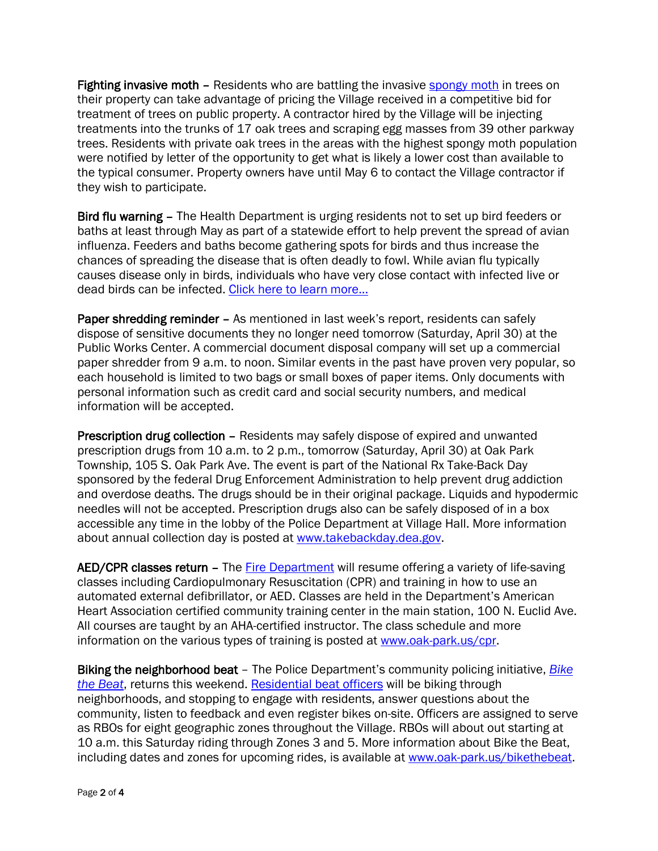Fighting invasive moth – Residents who are battling the invasive [spongy moth](https://www.smithsonianmag.com/smart-news/invasive-moth-gets-a-new-name-spongy-moth-180979680/) in trees on their property can take advantage of pricing the Village received in a competitive bid for treatment of trees on public property. A contractor hired by the Village will be injecting treatments into the trunks of 17 oak trees and scraping egg masses from 39 other parkway trees. Residents with private oak trees in the areas with the highest spongy moth population were notified by letter of the opportunity to get what is likely a lower cost than available to the typical consumer. Property owners have until May 6 to contact the Village contractor if they wish to participate.

Bird flu warning – The Health Department is urging residents not to set up bird feeders or baths at least through May as part of a statewide effort to help prevent the spread of avian influenza. Feeders and baths become gathering spots for birds and thus increase the chances of spreading the disease that is often deadly to fowl. While avian flu typically causes disease only in birds, individuals who have very close contact with infected live or dead birds can be infected. [Click here to learn more...](https://r20.rs6.net/tn.jsp?f=0015F20o5aBIL7RsACiYZyE1kz0AlgpzhTBfnEqMK3NbxcITHwazG8MbwJcoNj8qIQ-dy11prFHPjAORJsU-7vBGXoV59k5eYUMStoywG_6i6PBi4Z6oriI2vLVK-iJy-R9KUAlaDdNdziEf-RDvQwSwg2HkjoOMDuDWt-OJ_lS44m52j0kAYmgwZpzjWpnu6AtYwdop3y9mFu7IWApodB5BGb-PEif1VSnuxmbLh5IM2asFW4U4PiGcN-asZQiEuAPwbuOU7vjcPwAORuaNIrfpTiBCpWl0CwLdnL1dBP75IDOvBcqckEVeAHHq0ZiNRhqyX3E-0TPGc0=&c=exc650_BR8tIQSzulz27Azl3Wg_OTcbUV8sBaWLUa2joEDy-3pn_9w==&ch=lpTFm3w9jN2EV_wZ9uCT6C_iYc28MJzEJluqI88h2kuHcDwwzuItYg==)

Paper shredding reminder - As mentioned in last week's report, residents can safely dispose of sensitive documents they no longer need tomorrow (Saturday, April 30) at the Public Works Center. A commercial document disposal company will set up a commercial paper shredder from 9 a.m. to noon. Similar events in the past have proven very popular, so each household is limited to two bags or small boxes of paper items. Only documents with personal information such as credit card and social security numbers, and medical information will be accepted.

Prescription drug collection – Residents may safely dispose of expired and unwanted prescription drugs from 10 a.m. to 2 p.m., tomorrow (Saturday, April 30) at Oak Park Township, 105 S. Oak Park Ave. The event is part of the National Rx Take-Back Day sponsored by the federal Drug Enforcement Administration to help prevent drug addiction and overdose deaths. The drugs should be in their original package. Liquids and hypodermic needles will not be accepted. Prescription drugs also can be safely disposed of in a box accessible any time in the lobby of the Police Department at Village Hall. More information about annual collection day is posted at [www.takebackday.dea.gov.](http://www.takebackday.dea.gov/)

AED/CPR classes return - The [Fire Department](https://www.oak-park.us/village-services/fire-department) will resume offering a variety of life-saving classes including Cardiopulmonary Resuscitation (CPR) and training in how to use an automated external defibrillator, or AED. Classes are held in the Department's American Heart Association certified community training center in the main station, 100 N. Euclid Ave. All courses are taught by an AHA-certified instructor. The class schedule and more information on the various types of training is posted at [www.oak-park.us/cpr.](https://l.facebook.com/l.php?u=http%3A%2F%2Fwww.oak-park.us%2Fcpr%3Ffbclid%3DIwAR3FnviKlSpzCaFXVR8UvGchR5jh8wGkJXg-5pxC8u-KGUkQfJIS4jHnBjE&h=AT2b7raG94AKjnrU-mYSgvbftL6C453d6mU-yOded8p34-pjf2o5leONzJMH2Cr1lPGGpn6VjGt-gUvSSBr2mz6DWd1Q6qdLmhdOZ_Y-9ifUT6WA2ayb8zCGtOYYwYOko0ho&__tn__=-UK-R&c%5b0%5d=AT1MFDXf99C_2RqyNxHiAS0i4PZ1UIFsvUBCnXon_GSJf__HKGgZaDnYqeHElzrorShFMEmSbhM5mS3uMvcuSHyGFkcOQiaO86PCzy6uN821ovVNL1Lj9t0kiidCfsPMochxbb_YHwUG_u4XR7p4tXSOVw98GdXjvqS_kPCZZ3udFw)

Biking the neighborhood beat – The Police Department's community policing initiative, *[Bike](https://www.oak-park.us/village-services/police-department/bike-beat)  [the Beat](https://www.oak-park.us/village-services/police-department/bike-beat)*, returns this weekend. [Residential beat officers](https://www.oak-park.us/village-services/police-department/get-know-your-rbo) will be biking through neighborhoods, and stopping to engage with residents, answer questions about the community, listen to feedback and even register bikes on-site. Officers are assigned to serve as RBOs for eight geographic zones throughout the Village. RBOs will about out starting at 10 a.m. this Saturday riding through Zones 3 and 5. More information about Bike the Beat, including dates and zones for upcoming rides, is available at [www.oak-park.us/bikethebeat.](http://www.oak-park.us/bikethebeat)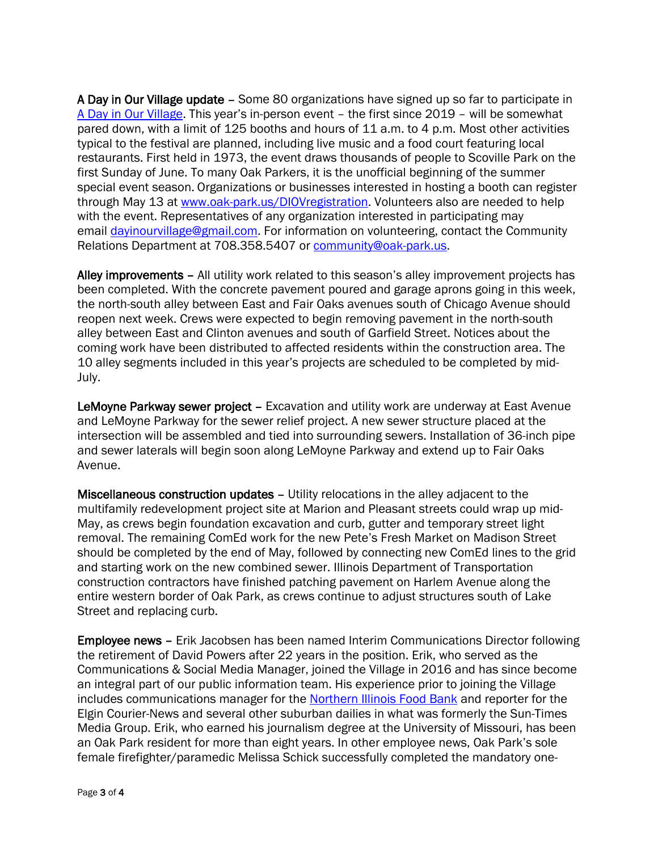A Day in Our Village update – Some 80 organizations have signed up so far to participate in [A Day in Our Village.](https://www.oak-park.us/our-community/special-events/day-our-village) This year's in-person event – the first since 2019 – will be somewhat pared down, with a limit of 125 booths and hours of 11 a.m. to 4 p.m. Most other activities typical to the festival are planned, including live music and a food court featuring local restaurants. First held in 1973, the event draws thousands of people to Scoville Park on the first Sunday of June. To many Oak Parkers, it is the unofficial beginning of the summer special event season. Organizations or businesses interested in hosting a booth can register through May 13 at [www.oak-park.us/DIOVregistration.](http://www.oak-park.us/DIOVregistration) Volunteers also are needed to help with the event. Representatives of any organization interested in participating may email [dayinourvillage@gmail.com.](mailto:dayinourvillage@gmail.com) For information on volunteering, contact the Community Relations Department at 708.358.5407 or [community@oak-park.us.](mailto:community@oak-park.us)

Alley improvements – All utility work related to this season's alley improvement projects has been completed. With the concrete pavement poured and garage aprons going in this week, the north-south alley between East and Fair Oaks avenues south of Chicago Avenue should reopen next week. Crews were expected to begin removing pavement in the north-south alley between East and Clinton avenues and south of Garfield Street. Notices about the coming work have been distributed to affected residents within the construction area. The 10 alley segments included in this year's projects are scheduled to be completed by mid-July.

LeMoyne Parkway sewer project - Excavation and utility work are underway at East Avenue and LeMoyne Parkway for the sewer relief project. A new sewer structure placed at the intersection will be assembled and tied into surrounding sewers. Installation of 36-inch pipe and sewer laterals will begin soon along LeMoyne Parkway and extend up to Fair Oaks Avenue.

Miscellaneous construction updates – Utility relocations in the alley adjacent to the multifamily redevelopment project site at Marion and Pleasant streets could wrap up mid-May, as crews begin foundation excavation and curb, gutter and temporary street light removal. The remaining ComEd work for the new Pete's Fresh Market on Madison Street should be completed by the end of May, followed by connecting new ComEd lines to the grid and starting work on the new combined sewer. Illinois Department of Transportation construction contractors have finished patching pavement on Harlem Avenue along the entire western border of Oak Park, as crews continue to adjust structures south of Lake Street and replacing curb.

Employee news – Erik Jacobsen has been named Interim Communications Director following the retirement of David Powers after 22 years in the position. Erik, who served as the Communications & Social Media Manager, joined the Village in 2016 and has since become an integral part of our public information team. His experience prior to joining the Village includes communications manager for the [Northern Illinois Food Bank](http://solvehungertoday.org/) and reporter for the Elgin Courier-News and several other suburban dailies in what was formerly the Sun-Times Media Group. Erik, who earned his journalism degree at the University of Missouri, has been an Oak Park resident for more than eight years. In other employee news, Oak Park's sole female firefighter/paramedic Melissa Schick successfully completed the mandatory one